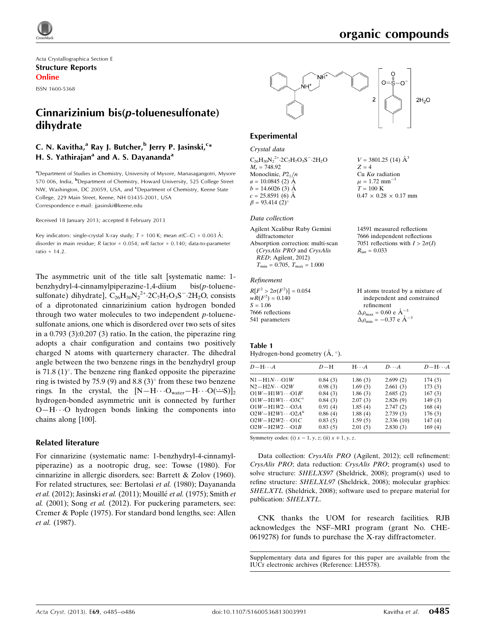$V = 3801.25$  (14)  $\AA^3$ 

 $0.47 \times 0.28 \times 0.17$  mm

14591 measured reflections 7666 independent reflections 7051 reflections with  $I > 2\sigma(I)$ 

 $Z = 4$ Cu  $K\alpha$  radiation  $\mu = 1.72$  mm<sup>-1</sup>  $T = 100 \text{ K}$ 

 $R_{\text{int}} = 0.033$ 

Acta Crystallographica Section E Structure Reports Online

ISSN 1600-5368

# Cinnarizinium bis(p-toluenesulfonate) dihydrate

### C. N. Kavitha,<sup>a</sup> Ray J. Butcher,<sup>b</sup> Jerry P. Jasinski,<sup>c</sup>\* H. S. Yathirajan<sup>a</sup> and A. S. Dayananda<sup>a</sup>

<sup>a</sup>Department of Studies in Chemistry, University of Mysore, Manasagangotri, Mysore 570 006, India, <sup>b</sup>Department of Chemistry, Howard University, 525 College Street NW, Washington, DC 20059, USA, and <sup>c</sup>Department of Chemistry, Keene State College, 229 Main Street, Keene, NH 03435-2001, USA Correspondence e-mail: [jjasinski@keene.edu](https://scripts.iucr.org/cgi-bin/cr.cgi?rm=pdfbb&cnor=lh5578&bbid=BB12)

Received 18 January 2013; accepted 8 February 2013

Key indicators: single-crystal X-ray study;  $T = 100$  K; mean  $\sigma$ (C–C) = 0.003 Å; disorder in main residue; R factor = 0.054; wR factor = 0.140; data-to-parameter ratio = 14.2.

The asymmetric unit of the title salt [systematic name: 1 benzhydryl-4-cinnamylpiperazine-1,4-diium bis( $p$ -toluenesulfonate) dihydrate],  $C_{26}H_{30}N_2^{2+}$ :2C<sub>7</sub>H<sub>7</sub>O<sub>3</sub>S<sup>-</sup>·2H<sub>2</sub>O, consists of a diprotonated cinnarizinium cation hydrogen bonded through two water molecules to two independent p-toluenesulfonate anions, one which is disordered over two sets of sites in a 0.793 (3):0.207 (3) ratio. In the cation, the piperazine ring adopts a chair configuration and contains two positively charged N atoms with quarternery character. The dihedral angle between the two benzene rings in the benzhydryl group is 71.8  $(1)^\circ$ . The benzene ring flanked opposite the piperazine ring is twisted by 75.9 (9) and 8.8 (3) $\degree$  from these two benzene rings. In the crystal, the  $[N-H\cdots O_{\text{water}}-H\cdots O(\cdots S)]_2$ hydrogen-bonded asymmetric unit is connected by further O-H···O hydrogen bonds linking the components into chains along [100].

#### Related literature

For cinnarizine (systematic name: 1-benzhydryl-4-cinnamylpiperazine) as a nootropic drug, see: Towse (1980). For cinnarizine in allergic disorders, see: Barrett & Zolov (1960). For related structures, see: Bertolasi et al. (1980); Dayananda et al. (2012); Jasinski et al. (2011); Mouillé et al. (1975); Smith et al. (2001); Song et al. (2012). For puckering parameters, see: Cremer & Pople (1975). For standard bond lengths, see: Allen et al. (1987).



#### **Experimental**

Crystal data  $C_{26}H_{30}N_2^{2+}.2C_7H_7O_3S^-.2H_2O$  $M_r = 748.92$ Monoclinic,  $P2_1/n$  $a = 10.0845(2)$  Å  $b = 14.6026(3)$  Å  $c = 25.8591(6)$  Å  $\beta = 93.414$  (2)<sup>o</sup>

#### Data collection

Agilent Xcalibur Ruby Gemini diffractometer Absorption correction: multi-scan (CrysAlis PRO and CrysAlis RED; Agilent, 2012)  $T_{\text{min}} = 0.705, T_{\text{max}} = 1.000$ 

#### Refinement

| $R[F^2 > 2\sigma(F^2)] = 0.054$ | H atoms treated by a mixture of                    |
|---------------------------------|----------------------------------------------------|
| $wR(F^2) = 0.140$               | independent and constrained                        |
| $S = 1.06$                      | refinement                                         |
| 7666 reflections                | $\Delta \rho_{\text{max}} = 0.60 \text{ e A}^{-3}$ |
| 541 parameters                  | $\Delta \rho_{\rm min} = -0.37$ e $\rm \AA^{-3}$   |

| Table 1                                   |  |
|-------------------------------------------|--|
| Hydrogen-bond geometry $(\AA, \degree)$ . |  |

| $D - H \cdots A$            | $D-H$   | $H \cdot \cdot \cdot A$ | $D \cdot \cdot \cdot A$ | $D - H \cdots A$ |
|-----------------------------|---------|-------------------------|-------------------------|------------------|
| $N1 - H1N \cdots O1W$       | 0.84(3) | 1.86(3)                 | 2.699(2)                | 174(3)           |
| $N2-H2N\cdots O2W$          | 0.98(3) | 1.69(3)                 | 2.661(3)                | 173(3)           |
| $O1W - H1W1 \cdots O1B$     | 0.84(3) | 1.86(3)                 | 2.685(2)                | 167(3)           |
| $O1W - H1W1 \cdots O3C^1$   | 0.84(3) | 2.07(3)                 | 2.826(9)                | 149(3)           |
| $O1W - H1W2 \cdots O3A$     | 0.91(4) | 1.85(4)                 | 2.747(2)                | 168(4)           |
| $O2W - H2W1 \cdots O2A^{n}$ | 0.86(4) | 1.88(4)                 | 2.739(3)                | 176(3)           |
| $O2W - H2W2 \cdots O1C$     | 0.83(5) | 1.59(5)                 | 2.336(10)               | 147(4)           |
| $O2W - H2W2 \cdots O1B$     | 0.83(5) | 2.01(5)                 | 2.830(3)                | 169(4)           |

Symmetry codes: (i)  $x - 1$ ,  $y$ ,  $z$ ; (ii)  $x + 1$ ,  $y$ ,  $z$ .

Data collection: CrysAlis PRO (Agilent, 2012); cell refinement: CrysAlis PRO; data reduction: CrysAlis PRO; program(s) used to solve structure: SHELXS97 (Sheldrick, 2008); program(s) used to refine structure: SHELXL97 (Sheldrick, 2008); molecular graphics: SHELXTL (Sheldrick, 2008); software used to prepare material for publication: SHELXTL.

CNK thanks the UOM for research facilities. RJB acknowledges the NSF–MRI program (grant No. CHE-0619278) for funds to purchase the X-ray diffractometer.

Supplementary data and figures for this paper are available from the IUCr electronic archives (Reference: LH5578).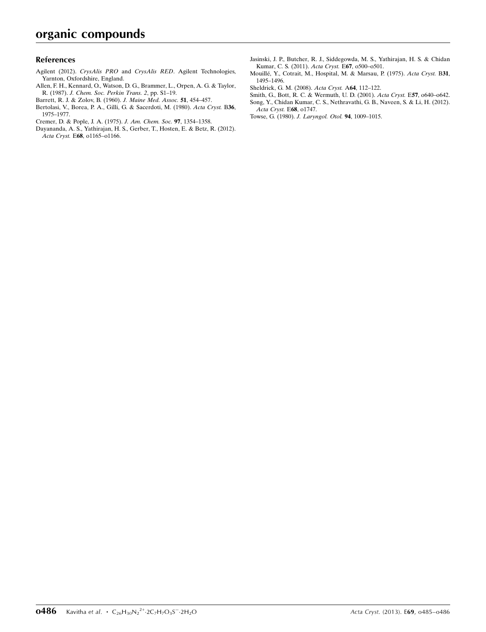#### References

- Agilent (2012). CrysAlis PRO and CrysAlis RED[. Agilent Technologies,](https://scripts.iucr.org/cgi-bin/cr.cgi?rm=pdfbb&cnor=lh5578&bbid=BB1) [Yarnton, Oxfordshire, England.](https://scripts.iucr.org/cgi-bin/cr.cgi?rm=pdfbb&cnor=lh5578&bbid=BB1)
- [Allen, F. H., Kennard, O., Watson, D. G., Brammer, L., Orpen, A. G. & Taylor,](https://scripts.iucr.org/cgi-bin/cr.cgi?rm=pdfbb&cnor=lh5578&bbid=BB2) R. (1987). [J. Chem. Soc. Perkin Trans. 2](https://scripts.iucr.org/cgi-bin/cr.cgi?rm=pdfbb&cnor=lh5578&bbid=BB2), pp. S1–19.
- [Barrett, R. J. & Zolov, B. \(1960\).](https://scripts.iucr.org/cgi-bin/cr.cgi?rm=pdfbb&cnor=lh5578&bbid=BB3) J. Maine Med. Assoc. 51, 454–457.
- [Bertolasi, V., Borea, P. A., Gilli, G. & Sacerdoti, M. \(1980\).](https://scripts.iucr.org/cgi-bin/cr.cgi?rm=pdfbb&cnor=lh5578&bbid=BB4) Acta Cryst. B36, [1975–1977.](https://scripts.iucr.org/cgi-bin/cr.cgi?rm=pdfbb&cnor=lh5578&bbid=BB4)
- [Cremer, D. & Pople, J. A. \(1975\).](https://scripts.iucr.org/cgi-bin/cr.cgi?rm=pdfbb&cnor=lh5578&bbid=BB5) J. Am. Chem. Soc. 97, 1354–1358.
- [Dayananda, A. S., Yathirajan, H. S., Gerber, T., Hosten, E. & Betz, R. \(2012\).](https://scripts.iucr.org/cgi-bin/cr.cgi?rm=pdfbb&cnor=lh5578&bbid=BB6) Acta Cryst. E68[, o1165–o1166.](https://scripts.iucr.org/cgi-bin/cr.cgi?rm=pdfbb&cnor=lh5578&bbid=BB6)
- [Jasinski, J. P., Butcher, R. J., Siddegowda, M. S., Yathirajan, H. S. & Chidan](https://scripts.iucr.org/cgi-bin/cr.cgi?rm=pdfbb&cnor=lh5578&bbid=BB7) [Kumar, C. S. \(2011\).](https://scripts.iucr.org/cgi-bin/cr.cgi?rm=pdfbb&cnor=lh5578&bbid=BB7) Acta Cryst. E67, o500–o501.
- [Mouille´, Y., Cotrait, M., Hospital, M. & Marsau, P. \(1975\).](https://scripts.iucr.org/cgi-bin/cr.cgi?rm=pdfbb&cnor=lh5578&bbid=BB8) Acta Cryst. B31, [1495–1496.](https://scripts.iucr.org/cgi-bin/cr.cgi?rm=pdfbb&cnor=lh5578&bbid=BB8)
- [Sheldrick, G. M. \(2008\).](https://scripts.iucr.org/cgi-bin/cr.cgi?rm=pdfbb&cnor=lh5578&bbid=BB9) Acta Cryst. A64, 112–122.
- [Smith, G., Bott, R. C. & Wermuth, U. D. \(2001\).](https://scripts.iucr.org/cgi-bin/cr.cgi?rm=pdfbb&cnor=lh5578&bbid=BB10) Acta Cryst. E57, o640–o642. [Song, Y., Chidan Kumar, C. S., Nethravathi, G. B., Naveen, S. & Li, H. \(2012\).](https://scripts.iucr.org/cgi-bin/cr.cgi?rm=pdfbb&cnor=lh5578&bbid=BB11)
- [Acta Cryst.](https://scripts.iucr.org/cgi-bin/cr.cgi?rm=pdfbb&cnor=lh5578&bbid=BB11) E68, o1747. Towse, G. (1980). [J. Laryngol. Otol.](https://scripts.iucr.org/cgi-bin/cr.cgi?rm=pdfbb&cnor=lh5578&bbid=BB12) 94, 1009–1015.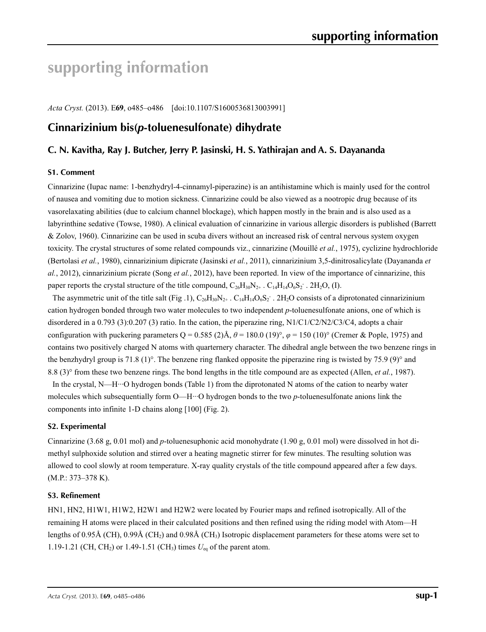# **supporting information**

*Acta Cryst.* (2013). E**69**, o485–o486 [doi:10.1107/S1600536813003991]

# **Cinnarizinium bis(***p***-toluenesulfonate) dihydrate**

## **C. N. Kavitha, Ray J. Butcher, Jerry P. Jasinski, H. S. Yathirajan and A. S. Dayananda**

#### **S1. Comment**

Cinnarizine (Iupac name: 1-benzhydryl-4-cinnamyl-piperazine) is an antihistamine which is mainly used for the control of nausea and vomiting due to motion sickness. Cinnarizine could be also viewed as a nootropic drug because of its vasorelaxating abilities (due to calcium channel blockage), which happen mostly in the brain and is also used as a labyrinthine sedative (Towse, 1980). A clinical evaluation of cinnarizine in various allergic disorders is published (Barrett & Zolov, 1960). Cinnarizine can be used in scuba divers without an increased risk of central nervous system oxygen toxicity. The crystal structures of some related compounds viz., cinnarizine (Mouillé *et al.*, 1975), cyclizine hydrochloride (Bertolasi *et al.*, 1980), cinnarizinium dipicrate (Jasinski *et al.*, 2011), cinnarizinium 3,5-dinitrosalicylate (Dayananda *et al.*, 2012), cinnarizinium picrate (Song *et al.*, 2012), have been reported. In view of the importance of cinnarizine, this paper reports the crystal structure of the title compound,  $C_{26}H_{30}N_{2+}$  .  $C_{14}H_{14}O_6S_2$  . 2H<sub>2</sub>O, (I).

The asymmetric unit of the title salt (Fig. 1),  $C_{26}H_{30}N_{2+}$ .  $C_{14}H_{14}O_6S_2$ . 2H<sub>2</sub>O consists of a diprotonated cinnarizinium cation hydrogen bonded through two water molecules to two independent *p*-toluenesulfonate anions, one of which is disordered in a 0.793 (3):0.207 (3) ratio. In the cation, the piperazine ring, N1/C1/C2/N2/C3/C4, adopts a chair configuration with puckering parameters  $Q = 0.585 (2)$ Å,  $\theta = 180.0 (19)$ °,  $\varphi = 150 (10)$ ° (Cremer & Pople, 1975) and contains two positively charged N atoms with quarternery character. The dihedral angle between the two benzene rings in the benzhydryl group is 71.8 (1)°. The benzene ring flanked opposite the piperazine ring is twisted by 75.9 (9)° and 8.8 (3)° from these two benzene rings. The bond lengths in the title compound are as expected (Allen, *et al.*, 1987).

In the crystal, N—H···O hydrogen bonds (Table 1) from the diprotonated N atoms of the cation to nearby water molecules which subsequentially form O—H···O hydrogen bonds to the two *p*-toluenesulfonate anions link the components into infinite 1-D chains along [100] (Fig. 2).

#### **S2. Experimental**

Cinnarizine (3.68 g, 0.01 mol) and *p*-toluenesuphonic acid monohydrate (1.90 g, 0.01 mol) were dissolved in hot dimethyl sulphoxide solution and stirred over a heating magnetic stirrer for few minutes. The resulting solution was allowed to cool slowly at room temperature. X-ray quality crystals of the title compound appeared after a few days. (M.P.: 373–378 K).

#### **S3. Refinement**

HN1, HN2, H1W1, H1W2, H2W1 and H2W2 were located by Fourier maps and refined isotropically. All of the remaining H atoms were placed in their calculated positions and then refined using the riding model with Atom—H lengths of 0.95Å (CH), 0.99Å (CH<sub>2</sub>) and 0.98Å (CH<sub>3</sub>) Isotropic displacement parameters for these atoms were set to 1.19-1.21 (CH, CH2) or 1.49-1.51 (CH3) times *U*eq of the parent atom.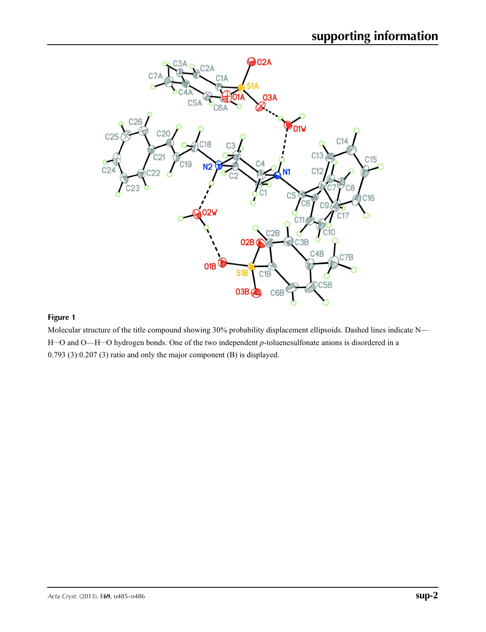

### **Figure 1**

Molecular structure of the title compound showing 30% probability displacement ellipsoids. Dashed lines indicate N— H···O and O—H···O hydrogen bonds. One of the two independent *p*-toluenesulfonate anions is disordered in a 0.793 (3):0.207 (3) ratio and only the major component (B) is displayed.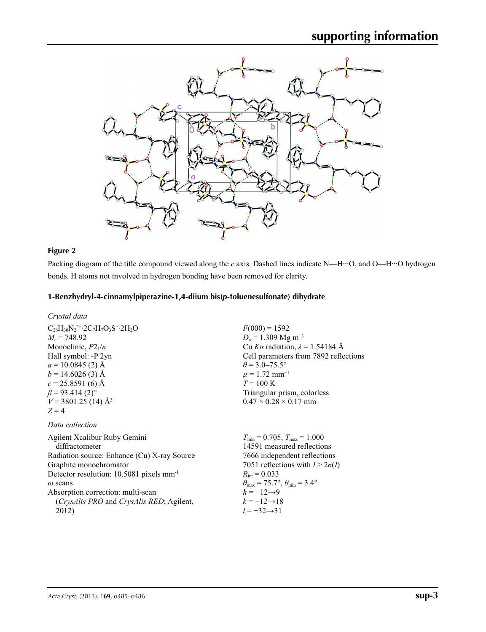

#### **Figure 2**

Packing diagram of the title compound viewed along the *c* axis. Dashed lines indicate N—H···O, and O—H···O hydrogen bonds. H atoms not involved in hydrogen bonding have been removed for clarity.

#### **1-Benzhydryl-4-cinnamylpiperazine-1,4-diium bis(***p***-toluenesulfonate) dihydrate**

*Crystal data*

| $C_{26}H_{30}N_2^{2+}$ 2C <sub>7</sub> H <sub>7</sub> O <sub>3</sub> S <sup>-</sup> 2H <sub>2</sub> O |
|-------------------------------------------------------------------------------------------------------|
| $M_r = 748.92$                                                                                        |
| Monoclinic, $P2_1/n$                                                                                  |
| Hall symbol: -P 2yn                                                                                   |
| $a = 10.0845$ (2) Å                                                                                   |
| $b = 14.6026(3)$ Å                                                                                    |
| $c = 25.8591(6)$ Å                                                                                    |
| $\beta$ = 93.414 (2) <sup>o</sup>                                                                     |
| $V = 3801.25(14)$ Å <sup>3</sup>                                                                      |
| $Z=4$                                                                                                 |
|                                                                                                       |

#### *Data collection*

Agilent Xcalibur Ruby Gemini diffractometer Radiation source: Enhance (Cu) X-ray Source Graphite monochromator Detector resolution: 10.5081 pixels mm-1 *ω* scans Absorption correction: multi-scan (*CrysAlis PRO* and *CrysAlis RED*; Agilent, 2012)

 $F(000) = 1592$  $D_x = 1.309$  Mg m<sup>-3</sup> Cu *Kα* radiation, *λ* = 1.54184 Å Cell parameters from 7892 reflections  $\theta$  = 3.0–75.5°  $\mu$  = 1.72 mm<sup>-1</sup>  $T = 100 \text{ K}$ Triangular prism, colorless  $0.47 \times 0.28 \times 0.17$  mm

 $T_{\text{min}} = 0.705, T_{\text{max}} = 1.000$ 14591 measured reflections 7666 independent reflections 7051 reflections with  $I > 2\sigma(I)$  $R_{\text{int}} = 0.033$  $\theta_{\text{max}} = 75.7^{\circ}, \theta_{\text{min}} = 3.4^{\circ}$  $h = -12 \rightarrow 9$  $k = -12 \rightarrow 18$ *l* = −32→31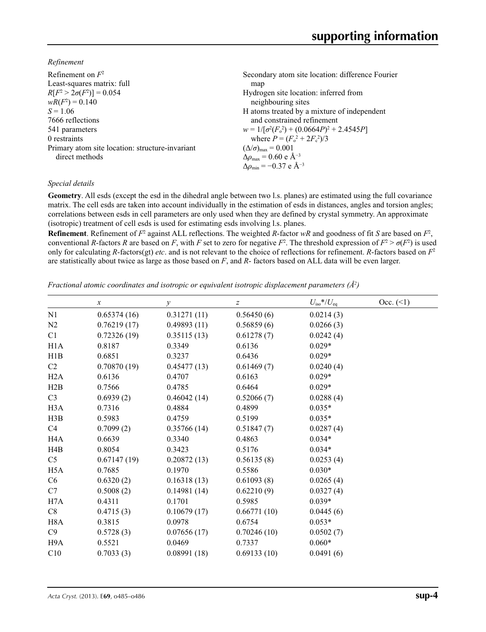*Refinement*

| Refinement on $F^2$                             | Secondary atom site location: difference Fourier   |
|-------------------------------------------------|----------------------------------------------------|
| Least-squares matrix: full                      | map                                                |
| $R[F^2 > 2\sigma(F^2)] = 0.054$                 | Hydrogen site location: inferred from              |
| $wR(F^2) = 0.140$                               | neighbouring sites                                 |
| $S = 1.06$                                      | H atoms treated by a mixture of independent        |
| 7666 reflections                                | and constrained refinement                         |
| 541 parameters                                  | $w = 1/[\sigma^2(F_0^2) + (0.0664P)^2 + 2.4545P]$  |
| 0 restraints                                    | where $P = (F_0^2 + 2F_c^2)/3$                     |
| Primary atom site location: structure-invariant | $(\Delta/\sigma)_{\text{max}} = 0.001$             |
| direct methods                                  | $\Delta\rho_{\text{max}}$ = 0.60 e Å <sup>-3</sup> |
|                                                 | $\Delta \rho_{\rm min} = -0.37$ e Å <sup>-3</sup>  |
|                                                 |                                                    |

#### *Special details*

**Geometry**. All esds (except the esd in the dihedral angle between two l.s. planes) are estimated using the full covariance matrix. The cell esds are taken into account individually in the estimation of esds in distances, angles and torsion angles; correlations between esds in cell parameters are only used when they are defined by crystal symmetry. An approximate (isotropic) treatment of cell esds is used for estimating esds involving l.s. planes.

**Refinement**. Refinement of  $F^2$  against ALL reflections. The weighted R-factor wR and goodness of fit *S* are based on  $F^2$ , conventional *R*-factors *R* are based on *F*, with *F* set to zero for negative  $F^2$ . The threshold expression of  $F^2 > \sigma(F^2)$  is used only for calculating *R*-factors(gt) *etc*. and is not relevant to the choice of reflections for refinement. *R*-factors based on *F*<sup>2</sup> are statistically about twice as large as those based on *F*, and *R*- factors based on ALL data will be even larger.

*Fractional atomic coordinates and isotropic or equivalent isotropic displacement parameters (Å<sup>2</sup>)* 

|                  | $\boldsymbol{\chi}$ | $\mathcal{Y}$ | $\boldsymbol{Z}$ | $U_{\rm iso}*/U_{\rm eq}$ | Occ. (2) |
|------------------|---------------------|---------------|------------------|---------------------------|----------|
| N1               | 0.65374(16)         | 0.31271(11)   | 0.56450(6)       | 0.0214(3)                 |          |
| N <sub>2</sub>   | 0.76219(17)         | 0.49893(11)   | 0.56859(6)       | 0.0266(3)                 |          |
| C1               | 0.72326(19)         | 0.35115(13)   | 0.61278(7)       | 0.0242(4)                 |          |
| H <sub>1</sub> A | 0.8187              | 0.3349        | 0.6136           | $0.029*$                  |          |
| H1B              | 0.6851              | 0.3237        | 0.6436           | $0.029*$                  |          |
| C <sub>2</sub>   | 0.70870(19)         | 0.45477(13)   | 0.61469(7)       | 0.0240(4)                 |          |
| H2A              | 0.6136              | 0.4707        | 0.6163           | $0.029*$                  |          |
| H2B              | 0.7566              | 0.4785        | 0.6464           | $0.029*$                  |          |
| C <sub>3</sub>   | 0.6939(2)           | 0.46042(14)   | 0.52066(7)       | 0.0288(4)                 |          |
| H <sub>3</sub> A | 0.7316              | 0.4884        | 0.4899           | $0.035*$                  |          |
| H3B              | 0.5983              | 0.4759        | 0.5199           | $0.035*$                  |          |
| C4               | 0.7099(2)           | 0.35766(14)   | 0.51847(7)       | 0.0287(4)                 |          |
| H4A              | 0.6639              | 0.3340        | 0.4863           | $0.034*$                  |          |
| H4B              | 0.8054              | 0.3423        | 0.5176           | $0.034*$                  |          |
| C <sub>5</sub>   | 0.67147(19)         | 0.20872(13)   | 0.56135(8)       | 0.0253(4)                 |          |
| H <sub>5</sub> A | 0.7685              | 0.1970        | 0.5586           | $0.030*$                  |          |
| C6               | 0.6320(2)           | 0.16318(13)   | 0.61093(8)       | 0.0265(4)                 |          |
| C7               | 0.5008(2)           | 0.14981(14)   | 0.62210(9)       | 0.0327(4)                 |          |
| H7A              | 0.4311              | 0.1701        | 0.5985           | $0.039*$                  |          |
| C8               | 0.4715(3)           | 0.10679(17)   | 0.66771(10)      | 0.0445(6)                 |          |
| H8A              | 0.3815              | 0.0978        | 0.6754           | $0.053*$                  |          |
| C9               | 0.5728(3)           | 0.07656(17)   | 0.70246(10)      | 0.0502(7)                 |          |
| H9A              | 0.5521              | 0.0469        | 0.7337           | $0.060*$                  |          |
| C10              | 0.7033(3)           | 0.08991(18)   | 0.69133(10)      | 0.0491(6)                 |          |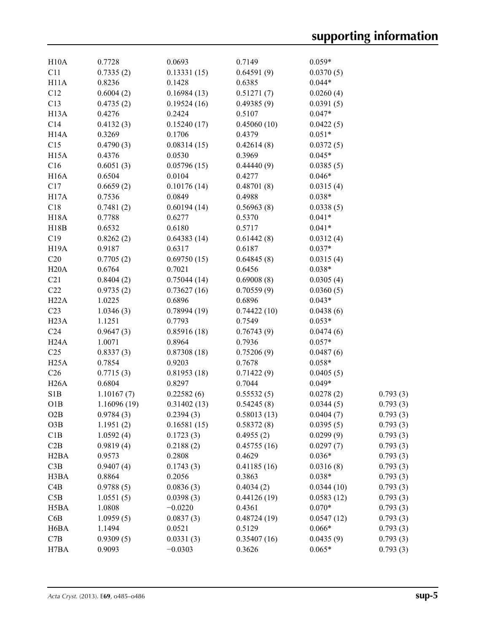| H10A              | 0.7728      | 0.0693      | 0.7149      | $0.059*$               |          |
|-------------------|-------------|-------------|-------------|------------------------|----------|
| C11               | 0.7335(2)   | 0.13331(15) | 0.64591(9)  | 0.0370(5)              |          |
| H11A              | 0.8236      | 0.1428      | 0.6385      | $0.044*$               |          |
| C12               | 0.6004(2)   | 0.16984(13) | 0.51271(7)  | 0.0260(4)              |          |
| C13               | 0.4735(2)   | 0.19524(16) | 0.49385(9)  | 0.0391(5)              |          |
| H <sub>13</sub> A | 0.4276      | 0.2424      | 0.5107      | $0.047*$               |          |
| C14               | 0.4132(3)   | 0.15240(17) | 0.45060(10) | 0.0422(5)              |          |
| H <sub>14</sub> A | 0.3269      | 0.1706      | 0.4379      | $0.051*$               |          |
| C15               | 0.4790(3)   | 0.08314(15) | 0.42614(8)  | 0.0372(5)              |          |
| <b>H15A</b>       | 0.4376      | 0.0530      | 0.3969      | $0.045*$               |          |
| C16               | 0.6051(3)   | 0.05796(15) | 0.44440(9)  | 0.0385(5)              |          |
| H <sub>16</sub> A | 0.6504      | 0.0104      | 0.4277      | $0.046*$               |          |
| C17               | 0.6659(2)   | 0.10176(14) | 0.48701(8)  | 0.0315(4)              |          |
| H17A              | 0.7536      | 0.0849      | 0.4988      | $0.038*$               |          |
| C18               | 0.7481(2)   | 0.60194(14) | 0.56963(8)  | 0.0338(5)              |          |
| <b>H18A</b>       | 0.7788      | 0.6277      | 0.5370      | $0.041*$               |          |
| H18B              | 0.6532      | 0.6180      | 0.5717      | $0.041*$               |          |
| C19               | 0.8262(2)   | 0.64383(14) | 0.61442(8)  | 0.0312(4)              |          |
| <b>H19A</b>       | 0.9187      | 0.6317      | 0.6187      | $0.037*$               |          |
| C20               | 0.7705(2)   | 0.69750(15) | 0.64845(8)  | 0.0315(4)              |          |
| H20A              | 0.6764      | 0.7021      | 0.6456      | $0.038*$               |          |
| C21               | 0.8404(2)   | 0.75044(14) | 0.69008(8)  | 0.0305(4)              |          |
| C22               | 0.9735(2)   | 0.73627(16) | 0.70559(9)  | 0.0360(5)              |          |
| H22A              | 1.0225      | 0.6896      | 0.6896      | $0.043*$               |          |
| C <sub>23</sub>   | 1.0346(3)   | 0.78994(19) | 0.74422(10) | 0.0438(6)              |          |
| H <sub>23</sub> A | 1.1251      | 0.7793      | 0.7549      | $0.053*$               |          |
| C <sub>24</sub>   | 0.9647(3)   | 0.85916(18) | 0.76743(9)  | 0.0474(6)              |          |
| H <sub>24</sub> A | 1.0071      | 0.8964      | 0.7936      | $0.057*$               |          |
| C <sub>25</sub>   | 0.8337(3)   | 0.87308(18) | 0.75206(9)  | 0.0487(6)              |          |
| H25A              | 0.7854      | 0.9203      | 0.7678      | $0.058*$               |          |
| C <sub>26</sub>   | 0.7715(3)   | 0.81953(18) | 0.71422(9)  | 0.0405(5)              |          |
| H26A              | 0.6804      | 0.8297      | 0.7044      | $0.049*$               |          |
| S <sub>1</sub> B  | 1.10167(7)  | 0.22582(6)  | 0.55532(5)  | 0.0278(2)              | 0.793(3) |
|                   | 1.16096(19) |             |             | 0.0344(5)              |          |
| O1B               |             | 0.31402(13) | 0.54245(8)  |                        | 0.793(3) |
| O <sub>2</sub> B  | 0.9784(3)   | 0.2394(3)   | 0.58013(13) | 0.0404(7)<br>0.0395(5) | 0.793(3) |
| O3B               | 1.1951(2)   | 0.16581(15) | 0.58372(8)  |                        | 0.793(3) |
| C1B               | 1.0592(4)   | 0.1723(3)   | 0.4955(2)   | 0.0299(9)              | 0.793(3) |
| C2B               | 0.9819(4)   | 0.2188(2)   | 0.45755(16) | 0.0297(7)              | 0.793(3) |
| H <sub>2</sub> BA | 0.9573      | 0.2808      | 0.4629      | $0.036*$               | 0.793(3) |
| C3B               | 0.9407(4)   | 0.1743(3)   | 0.41185(16) | 0.0316(8)              | 0.793(3) |
| H3BA              | 0.8864      | 0.2056      | 0.3863      | $0.038*$               | 0.793(3) |
| C4B               | 0.9788(5)   | 0.0836(3)   | 0.4034(2)   | 0.0344(10)             | 0.793(3) |
| C5B               | 1.0551(5)   | 0.0398(3)   | 0.44126(19) | 0.0583(12)             | 0.793(3) |
| H5BA              | 1.0808      | $-0.0220$   | 0.4361      | $0.070*$               | 0.793(3) |
| C6B               | 1.0959(5)   | 0.0837(3)   | 0.48724(19) | 0.0547(12)             | 0.793(3) |
| H <sub>6</sub> BA | 1.1494      | 0.0521      | 0.5129      | $0.066*$               | 0.793(3) |
| C7B               | 0.9309(5)   | 0.0331(3)   | 0.35407(16) | 0.0435(9)              | 0.793(3) |
| H7BA              | 0.9093      | $-0.0303$   | 0.3626      | $0.065*$               | 0.793(3) |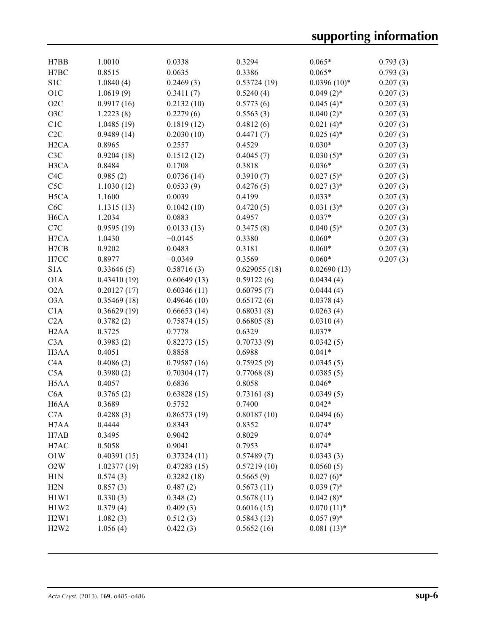| H7BB              | 1.0010      | 0.0338      | 0.3294       | $0.065*$      | 0.793(3) |
|-------------------|-------------|-------------|--------------|---------------|----------|
| H7BC              | 0.8515      | 0.0635      | 0.3386       | $0.065*$      | 0.793(3) |
| S <sub>1</sub> C  | 1.0840(4)   | 0.2469(3)   | 0.53724(19)  | $0.0396(10)*$ | 0.207(3) |
| O1C               | 1.0619(9)   | 0.3411(7)   | 0.5240(4)    | $0.049(2)$ *  | 0.207(3) |
| O2C               | 0.9917(16)  | 0.2132(10)  | 0.5773(6)    | $0.045(4)$ *  | 0.207(3) |
| O <sub>3</sub> C  | 1.2223(8)   | 0.2279(6)   | 0.5563(3)    | $0.040(2)$ *  | 0.207(3) |
| C1C               | 1.0485(19)  | 0.1819(12)  | 0.4812(6)    | $0.021(4)$ *  | 0.207(3) |
| C2C               | 0.9489(14)  | 0.2030(10)  | 0.4471(7)    | $0.025(4)$ *  | 0.207(3) |
| H <sub>2</sub> CA | 0.8965      | 0.2557      | 0.4529       | $0.030*$      | 0.207(3) |
| C <sub>3</sub> C  | 0.9204(18)  | 0.1512(12)  | 0.4045(7)    | $0.030(5)$ *  | 0.207(3) |
|                   |             |             | 0.3818       |               |          |
| H3CA              | 0.8484      | 0.1708      |              | $0.036*$      | 0.207(3) |
| C <sub>4</sub> C  | 0.985(2)    | 0.0736(14)  | 0.3910(7)    | $0.027(5)$ *  | 0.207(3) |
| C5C               | 1.1030(12)  | 0.0533(9)   | 0.4276(5)    | $0.027(3)$ *  | 0.207(3) |
| H <sub>5</sub> CA | 1.1600      | 0.0039      | 0.4199       | $0.033*$      | 0.207(3) |
| C <sub>6</sub> C  | 1.1315(13)  | 0.1042(10)  | 0.4720(5)    | $0.031(3)*$   | 0.207(3) |
| H <sub>6</sub> CA | 1.2034      | 0.0883      | 0.4957       | $0.037*$      | 0.207(3) |
| C7C               | 0.9595(19)  | 0.0133(13)  | 0.3475(8)    | $0.040(5)$ *  | 0.207(3) |
| H7CA              | 1.0430      | $-0.0145$   | 0.3380       | $0.060*$      | 0.207(3) |
| H7CB              | 0.9202      | 0.0483      | 0.3181       | $0.060*$      | 0.207(3) |
| H7CC              | 0.8977      | $-0.0349$   | 0.3569       | $0.060*$      | 0.207(3) |
| S <sub>1</sub> A  | 0.33646(5)  | 0.58716(3)  | 0.629055(18) | 0.02690(13)   |          |
| O1A               | 0.43410(19) | 0.60649(13) | 0.59122(6)   | 0.0434(4)     |          |
| O2A               | 0.20127(17) | 0.60346(11) | 0.60795(7)   | 0.0444(4)     |          |
| O3A               | 0.35469(18) | 0.49646(10) | 0.65172(6)   | 0.0378(4)     |          |
| C1A               | 0.36629(19) | 0.66653(14) | 0.68031(8)   | 0.0263(4)     |          |
| C2A               | 0.3782(2)   | 0.75874(15) | 0.66805(8)   | 0.0310(4)     |          |
| H <sub>2</sub> AA | 0.3725      | 0.7778      | 0.6329       | $0.037*$      |          |
|                   |             |             |              |               |          |
| C3A               | 0.3983(2)   | 0.82273(15) | 0.70733(9)   | 0.0342(5)     |          |
| H3AA              | 0.4051      | 0.8858      | 0.6988       | $0.041*$      |          |
| C4A               | 0.4086(2)   | 0.79587(16) | 0.75925(9)   | 0.0345(5)     |          |
| C5A               | 0.3980(2)   | 0.70304(17) | 0.77068(8)   | 0.0385(5)     |          |
| H5AA              | 0.4057      | 0.6836      | 0.8058       | $0.046*$      |          |
| C <sub>6</sub> A  | 0.3765(2)   | 0.63828(15) | 0.73161(8)   | 0.0349(5)     |          |
| H <sub>6</sub> AA | 0.3689      | 0.5752      | 0.7400       | $0.042*$      |          |
| C7A               | 0.4288(3)   | 0.86573(19) | 0.80187(10)  | 0.0494(6)     |          |
| H7AA              | 0.4444      | 0.8343      | 0.8352       | $0.074*$      |          |
| H7AB              | 0.3495      | 0.9042      | 0.8029       | $0.074*$      |          |
| H7AC              | 0.5058      | 0.9041      | 0.7953       | $0.074*$      |          |
| O1W               | 0.40391(15) | 0.37324(11) | 0.57489(7)   | 0.0343(3)     |          |
| O2W               | 1.02377(19) | 0.47283(15) | 0.57219(10)  | 0.0560(5)     |          |
| H1N               | 0.574(3)    | 0.3282(18)  | 0.5665(9)    | $0.027(6)$ *  |          |
| H2N               | 0.857(3)    | 0.487(2)    | 0.5673(11)   | $0.039(7)$ *  |          |
| H1W1              | 0.330(3)    | 0.348(2)    | 0.5678(11)   | $0.042(8)$ *  |          |
| H1W2              | 0.379(4)    | 0.409(3)    | 0.6016(15)   | $0.070(11)*$  |          |
| H2W1              | 1.082(3)    | 0.512(3)    | 0.5843(13)   | $0.057(9)$ *  |          |
|                   |             |             |              |               |          |
| H2W2              | 1.056(4)    | 0.422(3)    | 0.5652(16)   | $0.081(13)*$  |          |
|                   |             |             |              |               |          |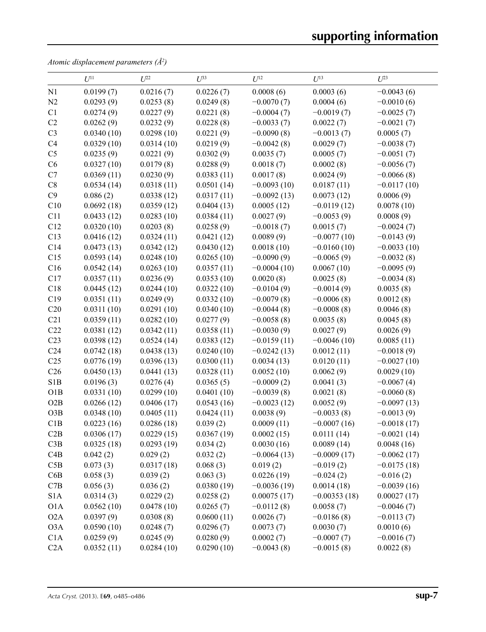*Atomic displacement parameters (Å2 )*

|                  | $U^{11}$   | $U^{22}$   | $U^{33}$   | $U^{12}$      | $U^{13}$       | $U^{23}$      |
|------------------|------------|------------|------------|---------------|----------------|---------------|
| N1               | 0.0199(7)  | 0.0216(7)  | 0.0226(7)  | 0.0008(6)     | 0.0003(6)      | $-0.0043(6)$  |
| N2               | 0.0293(9)  | 0.0253(8)  | 0.0249(8)  | $-0.0070(7)$  | 0.0004(6)      | $-0.0010(6)$  |
| C1               | 0.0274(9)  | 0.0227(9)  | 0.0221(8)  | $-0.0004(7)$  | $-0.0019(7)$   | $-0.0025(7)$  |
| C2               | 0.0262(9)  | 0.0232(9)  | 0.0228(8)  | $-0.0033(7)$  | 0.0022(7)      | $-0.0021(7)$  |
| C <sub>3</sub>   | 0.0340(10) | 0.0298(10) | 0.0221(9)  | $-0.0090(8)$  | $-0.0013(7)$   | 0.0005(7)     |
| C <sub>4</sub>   | 0.0329(10) | 0.0314(10) | 0.0219(9)  | $-0.0042(8)$  | 0.0029(7)      | $-0.0038(7)$  |
| C <sub>5</sub>   | 0.0235(9)  | 0.0221(9)  | 0.0302(9)  | 0.0035(7)     | 0.0005(7)      | $-0.0051(7)$  |
| C6               | 0.0327(10) | 0.0179(8)  | 0.0288(9)  | 0.0018(7)     | 0.0002(8)      | $-0.0056(7)$  |
| C7               | 0.0369(11) | 0.0230(9)  | 0.0383(11) | 0.0017(8)     | 0.0024(9)      | $-0.0066(8)$  |
| C8               | 0.0534(14) | 0.0318(11) | 0.0501(14) | $-0.0093(10)$ | 0.0187(11)     | $-0.0117(10)$ |
| C9               | 0.086(2)   | 0.0338(12) | 0.0317(11) | $-0.0092(13)$ | 0.0073(12)     | 0.0006(9)     |
| C10              | 0.0692(18) | 0.0359(12) | 0.0404(13) | 0.0005(12)    | $-0.0119(12)$  | 0.0078(10)    |
| C11              | 0.0433(12) | 0.0283(10) | 0.0384(11) | 0.0027(9)     | $-0.0053(9)$   | 0.0008(9)     |
| C12              | 0.0320(10) | 0.0203(8)  | 0.0258(9)  | $-0.0018(7)$  | 0.0015(7)      | $-0.0024(7)$  |
| C13              | 0.0416(12) | 0.0324(11) | 0.0421(12) | 0.0089(9)     | $-0.0077(10)$  | $-0.0143(9)$  |
| C14              | 0.0473(13) | 0.0342(12) | 0.0430(12) | 0.0018(10)    | $-0.0160(10)$  | $-0.0033(10)$ |
| C15              | 0.0593(14) | 0.0248(10) | 0.0265(10) | $-0.0090(9)$  | $-0.0065(9)$   | $-0.0032(8)$  |
| C16              | 0.0542(14) | 0.0263(10) | 0.0357(11) | $-0.0004(10)$ | 0.0067(10)     | $-0.0095(9)$  |
| C17              | 0.0357(11) | 0.0236(9)  | 0.0353(10) | 0.0020(8)     | 0.0025(8)      | $-0.0034(8)$  |
| C18              | 0.0445(12) | 0.0244(10) | 0.0322(10) | $-0.0104(9)$  | $-0.0014(9)$   | 0.0035(8)     |
| C19              | 0.0351(11) | 0.0249(9)  | 0.0332(10) | $-0.0079(8)$  | $-0.0006(8)$   | 0.0012(8)     |
| C20              | 0.0311(10) | 0.0291(10) | 0.0340(10) | $-0.0044(8)$  | $-0.0008(8)$   | 0.0046(8)     |
| C21              | 0.0359(11) | 0.0282(10) | 0.0277(9)  | $-0.0058(8)$  | 0.0035(8)      | 0.0045(8)     |
| C22              | 0.0381(12) | 0.0342(11) | 0.0358(11) | $-0.0030(9)$  | 0.0027(9)      | 0.0026(9)     |
| C <sub>23</sub>  | 0.0398(12) | 0.0524(14) | 0.0383(12) | $-0.0159(11)$ | $-0.0046(10)$  | 0.0085(11)    |
| C <sub>24</sub>  | 0.0742(18) | 0.0438(13) | 0.0240(10) | $-0.0242(13)$ | 0.0012(11)     | $-0.0018(9)$  |
| C <sub>25</sub>  | 0.0776(19) | 0.0396(13) | 0.0300(11) | 0.0034(13)    | 0.0120(11)     | $-0.0027(10)$ |
| C <sub>26</sub>  | 0.0450(13) | 0.0441(13) | 0.0328(11) | 0.0052(10)    | 0.0062(9)      | 0.0029(10)    |
| S <sub>1</sub> B | 0.0196(3)  | 0.0276(4)  | 0.0365(5)  | $-0.0009(2)$  | 0.0041(3)      | $-0.0067(4)$  |
| O1B              | 0.0331(10) | 0.0299(10) | 0.0401(10) | $-0.0039(8)$  | 0.0021(8)      | $-0.0060(8)$  |
| O2B              | 0.0266(12) | 0.0406(17) | 0.0543(16) | $-0.0023(12)$ | 0.0052(9)      | $-0.0097(13)$ |
| O3B              | 0.0348(10) | 0.0405(11) | 0.0424(11) | 0.0038(9)     | $-0.0033(8)$   | $-0.0013(9)$  |
| C1B              | 0.0223(16) | 0.0286(18) | 0.039(2)   | 0.0009(11)    | $-0.0007(16)$  | $-0.0018(17)$ |
| C2B              | 0.0306(17) | 0.0229(15) | 0.0367(19) | 0.0002(15)    | 0.0111(14)     | $-0.0021(14)$ |
| C3B              | 0.0325(18) | 0.0293(19) | 0.034(2)   | 0.0030(16)    | 0.0089(14)     | 0.0048(16)    |
| C4B              | 0.042(2)   | 0.029(2)   | 0.032(2)   | $-0.0064(13)$ | $-0.0009(17)$  | $-0.0062(17)$ |
| C5B              | 0.073(3)   | 0.0317(18) | 0.068(3)   | 0.019(2)      | $-0.019(2)$    | $-0.0175(18)$ |
| C6B              | 0.058(3)   | 0.039(2)   | 0.063(3)   | 0.0226(19)    | $-0.024(2)$    | $-0.016(2)$   |
| C7B              | 0.056(3)   | 0.036(2)   | 0.0380(19) | $-0.0036(19)$ | 0.0014(18)     | $-0.0039(16)$ |
| S1A              | 0.0314(3)  | 0.0229(2)  | 0.0258(2)  | 0.00075(17)   | $-0.00353(18)$ | 0.00027(17)   |
| O1A              | 0.0562(10) | 0.0478(10) | 0.0265(7)  | $-0.0112(8)$  | 0.0058(7)      | $-0.0046(7)$  |
| O2A              | 0.0397(9)  | 0.0308(8)  | 0.0600(11) | 0.0026(7)     | $-0.0186(8)$   | $-0.0113(7)$  |
| O3A              | 0.0590(10) | 0.0248(7)  | 0.0296(7)  | 0.0073(7)     | 0.0030(7)      | 0.0010(6)     |
| C1A              | 0.0259(9)  | 0.0245(9)  | 0.0280(9)  | 0.0002(7)     | $-0.0007(7)$   | $-0.0016(7)$  |
| C2A              | 0.0352(11) | 0.0284(10) | 0.0290(10) | $-0.0043(8)$  | $-0.0015(8)$   | 0.0022(8)     |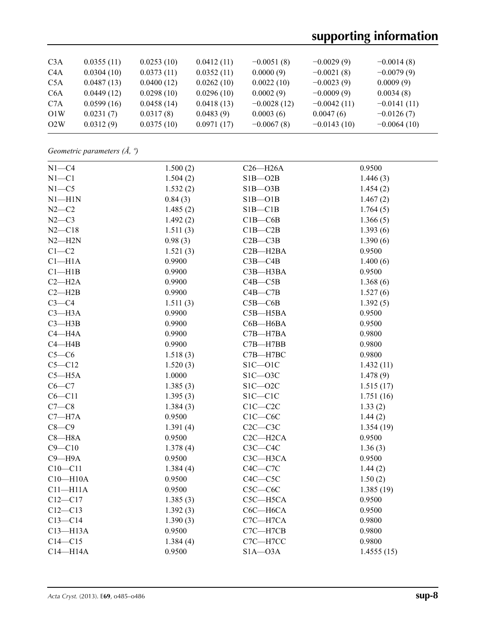# **supporting information**

| C3A              | 0.0355(11) | 0.0253(10) | 0.0412(11) | $-0.0051(8)$  | $-0.0029(9)$  | $-0.0014(8)$  |
|------------------|------------|------------|------------|---------------|---------------|---------------|
| C <sub>4</sub> A | 0.0304(10) | 0.0373(11) | 0.0352(11) | 0.0000(9)     | $-0.0021(8)$  | $-0.0079(9)$  |
| C5A              | 0.0487(13) | 0.0400(12) | 0.0262(10) | 0.0022(10)    | $-0.0023(9)$  | 0.0009(9)     |
| C <sub>6</sub> A | 0.0449(12) | 0.0298(10) | 0.0296(10) | 0.0002(9)     | $-0.0009(9)$  | 0.0034(8)     |
| C7A              | 0.0599(16) | 0.0458(14) | 0.0418(13) | $-0.0028(12)$ | $-0.0042(11)$ | $-0.0141(11)$ |
| O1W              | 0.0231(7)  | 0.0317(8)  | 0.0483(9)  | 0.0003(6)     | 0.0047(6)     | $-0.0126(7)$  |
| O2W              | 0.0312(9)  | 0.0375(10) | 0.0971(17) | $-0.0067(8)$  | $-0.0143(10)$ | $-0.0064(10)$ |

*Geometric parameters (Å, º)*

| $N1 - C4$    | 1.500(2) | $C26 - H26A$                       | 0.9500     |
|--------------|----------|------------------------------------|------------|
| $N1 - C1$    | 1.504(2) | $SIB - O2B$                        | 1.446(3)   |
| $N1 - C5$    | 1.532(2) | $SIB - O3B$                        | 1.454(2)   |
| $N1 - H1N$   | 0.84(3)  | $SIB - O1B$                        | 1.467(2)   |
| $N2-C2$      | 1.485(2) | $SIB - C1B$                        | 1.764(5)   |
| $N2-C3$      | 1.492(2) | $C1B - C6B$                        | 1.366(5)   |
| $N2 - C18$   | 1.511(3) | $C1B - C2B$                        | 1.393(6)   |
| $N2 - H2N$   | 0.98(3)  | $C2B - C3B$                        | 1.390(6)   |
| $C1-C2$      | 1.521(3) | C <sub>2</sub> B-H <sub>2</sub> BA | 0.9500     |
| $C1 - H1A$   | 0.9900   | $C3B - C4B$                        | 1.400(6)   |
| $C1 - H1B$   | 0.9900   | C3B-H3BA                           | 0.9500     |
| $C2 - H2A$   | 0.9900   | $C4B - C5B$                        | 1.368(6)   |
| $C2 - H2B$   | 0.9900   | $C4B - C7B$                        | 1.527(6)   |
| $C3-C4$      | 1.511(3) | $C5B - C6B$                        | 1.392(5)   |
| $C3 - H3A$   | 0.9900   | $C5B - H5BA$                       | 0.9500     |
| $C3 - H3B$   | 0.9900   | C6B-H6BA                           | 0.9500     |
| $C4 - H4A$   | 0.9900   | C7B-H7BA                           | 0.9800     |
| $C4 - H4B$   | 0.9900   | $C7B - H7BB$                       | 0.9800     |
| $C5-C6$      | 1.518(3) | C7B-H7BC                           | 0.9800     |
| $C5 - C12$   | 1.520(3) | $S1C - O1C$                        | 1.432(11)  |
| $C5 - H5A$   | 1.0000   | $S1C - O3C$                        | 1.478(9)   |
| $C6 - C7$    | 1.385(3) | $S1C - O2C$                        | 1.515(17)  |
| $C6 - C11$   | 1.395(3) | $S1C - C1C$                        | 1.751(16)  |
| $C7-C8$      | 1.384(3) | $C1C - C2C$                        | 1.33(2)    |
| $C7 - H7A$   | 0.9500   | $C1C-C6C$                          | 1.44(2)    |
| $C8-C9$      | 1.391(4) | $C2C - C3C$                        | 1.354(19)  |
| $C8 - H8A$   | 0.9500   | C <sub>2</sub> C-H <sub>2</sub> CA | 0.9500     |
| $C9 - C10$   | 1.378(4) | $C3C - C4C$                        | 1.36(3)    |
| $C9 - H9A$   | 0.9500   | C3C-H3CA                           | 0.9500     |
| $C10 - C11$  | 1.384(4) | $C4C - C7C$                        | 1.44(2)    |
| $C10 - H10A$ | 0.9500   | $C4C - C5C$                        | 1.50(2)    |
| $C11 - H11A$ | 0.9500   | $C5C - C6C$                        | 1.385(19)  |
| $C12 - C17$  | 1.385(3) | C5C-H5CA                           | 0.9500     |
| $C12 - C13$  | 1.392(3) | $C6C$ — $H6CA$                     | 0.9500     |
| $C13-C14$    | 1.390(3) | $C7C - H7CA$                       | 0.9800     |
| $C13 - H13A$ | 0.9500   | C7C-H7CB                           | 0.9800     |
| $C14 - C15$  | 1.384(4) | C7C-H7CC                           | 0.9800     |
| $C14 - H14A$ | 0.9500   | $S1A - O3A$                        | 1.4555(15) |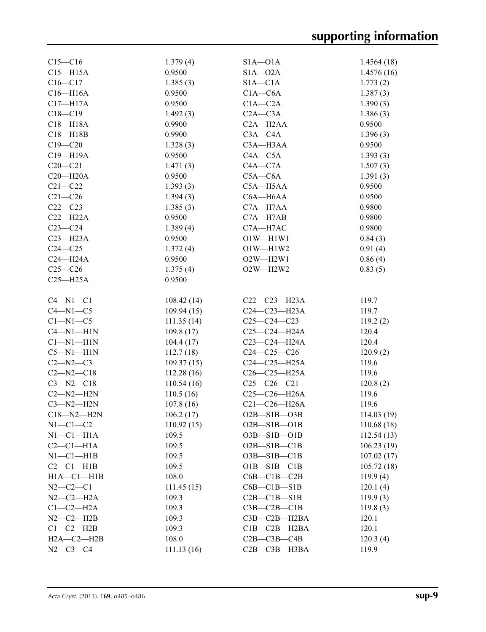| $C15 - C16$      | 1.379(4)   | $SIA - OIA$                                         | 1.4564(18)  |
|------------------|------------|-----------------------------------------------------|-------------|
| $C15 - H15A$     | 0.9500     | $S1A - O2A$                                         | 1.4576(16)  |
| $C16 - C17$      | 1.385(3)   | $S1A - C1A$                                         | 1.773(2)    |
| $C16 - H16A$     | 0.9500     | $C1A - C6A$                                         | 1.387(3)    |
| $C17 - H17A$     | 0.9500     | $C1A - C2A$                                         | 1.390(3)    |
| $C18 - C19$      | 1.492(3)   | $C2A - C3A$                                         | 1.386(3)    |
| $C18 - H18A$     | 0.9900     | C2A-H2AA                                            | 0.9500      |
| $C18 - H18B$     | 0.9900     | $C3A - C4A$                                         | 1.396(3)    |
| $C19 - C20$      | 1.328(3)   | C3A-H3AA                                            | 0.9500      |
| C19-H19A         | 0.9500     | $C4A - C5A$                                         | 1.393(3)    |
| $C20 - C21$      | 1.471(3)   | $C4A - C7A$                                         | 1.507(3)    |
| $C20 - H20A$     | 0.9500     | $C5A - C6A$                                         | 1.391(3)    |
| $C21 - C22$      | 1.393(3)   | C5A-H5AA                                            | 0.9500      |
| $C21 - C26$      | 1.394(3)   | $C6A - H6AA$                                        | 0.9500      |
| $C22 - C23$      | 1.385(3)   | C7A-H7AA                                            | 0.9800      |
| $C22-H22A$       | 0.9500     | $C7A - H7AB$                                        | 0.9800      |
| $C23-C24$        | 1.389(4)   | C7A-H7AC                                            | 0.9800      |
| $C23 - H23A$     | 0.9500     | $O1W - H1W1$                                        | 0.84(3)     |
| $C24 - C25$      | 1.372(4)   | $O1W - H1W2$                                        | 0.91(4)     |
| $C24 - H24A$     | 0.9500     | $O2W - H2W1$                                        | 0.86(4)     |
| $C25-C26$        | 1.375(4)   |                                                     | 0.83(5)     |
|                  |            | $O2W - H2W2$                                        |             |
| $C25 - H25A$     | 0.9500     |                                                     |             |
| $C4 - N1 - C1$   | 108.42(14) | $C22-C23-H23A$                                      | 119.7       |
| $C4 - N1 - C5$   | 109.94(15) | $C24-C23-H23A$                                      | 119.7       |
| $C1 - N1 - C5$   | 111.35(14) | $C25-C24-C23$                                       | 119.2(2)    |
| $C4 - N1 - H1N$  | 109.8(17)  | $C25 - C24 - H24A$                                  | 120.4       |
| $Cl-M1-H1N$      | 104.4(17)  | C23-C24-H24A                                        | 120.4       |
| $C5-M1-H1N$      | 112.7(18)  | $C24 - C25 - C26$                                   | 120.9(2)    |
| $C2 - N2 - C3$   | 109.37(15) | $C24-C25-H25A$                                      | 119.6       |
| $C2 - N2 - C18$  | 112.28(16) | $C26-C25-H25A$                                      | 119.6       |
|                  |            | $C25-C26-C21$                                       | 120.8(2)    |
| $C3 - N2 - C18$  | 110.54(16) |                                                     |             |
| $C2 - N2 - H2N$  | 110.5(16)  | $C25-C26-H26A$                                      | 119.6       |
| $C3 - N2 - H2N$  | 107.8(16)  | $C21-C26-H26A$                                      | 119.6       |
| $C18 - N2 - H2N$ | 106.2(17)  | $O2B - S1B - O3B$                                   | 114.03 (19) |
| $N1-C1-C2$       | 110.92(15) | $O2B - S1B - O1B$                                   | 110.68(18)  |
| $N1-C1-H1A$      | 109.5      | $O3B - S1B - O1B$                                   | 112.54(13)  |
| $C2-C1-H1A$      | 109.5      | $O2B - S1B - C1B$                                   | 106.23(19)  |
| $N1-C1-H1B$      | 109.5      | $O3B - S1B - C1B$                                   | 107.02(17)  |
| $C2-C1-H1B$      | 109.5      | $O1B - S1B - C1B$                                   | 105.72(18)  |
| $H1A - C1 - H1B$ | 108.0      | $C6B - C1B - C2B$                                   | 119.9(4)    |
| $N2 - C2 - C1$   | 111.45(15) | $C6B - C1B - S1B$                                   | 120.1(4)    |
| $N2-C2-H2A$      | 109.3      | $C2B - C1B - S1B$                                   | 119.9(3)    |
| $C1-C2-H2A$      | 109.3      | $C3B - C2B - C1B$                                   | 119.8(3)    |
| $N2-C2-H2B$      | 109.3      | $C3B - C2B - H2BA$                                  | 120.1       |
| $C1-C2-H2B$      | 109.3      | $C1B - C2B - H2BA$                                  | 120.1       |
| $H2A - C2 - H2B$ | 108.0      | $C2B - C3B - C4B$                                   | 120.3(4)    |
| $N2 - C3 - C4$   | 111.13(16) | C <sub>2</sub> B-C <sub>3</sub> B-H <sub>3</sub> BA | 119.9       |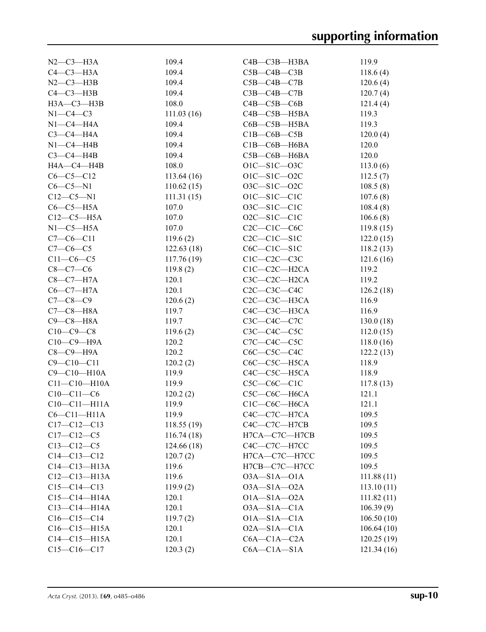| $N2-C3-H3A$        | 109.4      | C4B-C3B-H3BA       | 119.9      |
|--------------------|------------|--------------------|------------|
| $C4-C3-H3A$        | 109.4      | $C5B - C4B - C3B$  | 118.6(4)   |
| $N2-C3-H3B$        | 109.4      | $C5B - C4B - C7B$  | 120.6(4)   |
| $C4-C3-H3B$        | 109.4      | $C3B - C4B - C7B$  | 120.7(4)   |
| НЗА-СЗ-НЗВ         | 108.0      | $C4B - C5B - C6B$  | 121.4(4)   |
| $N1-C4-C3$         | 111.03(16) | C4B-C5B-H5BA       | 119.3      |
| $N1-C4-H4A$        | 109.4      | $C6B - C5B - H5BA$ | 119.3      |
| $C3-C4-H4A$        | 109.4      | $C1B - C6B - C5B$  | 120.0(4)   |
| $N1-C4-H4B$        | 109.4      | $C1B - C6B - H6BA$ | 120.0      |
| $C3-C4-H4B$        | 109.4      | $C5B - C6B - H6BA$ | 120.0      |
| HA—C4—H4B          | 108.0      | $O1C - S1C - O3C$  | 113.0(6)   |
| $C6-C5-C12$        | 113.64(16) | $O1C - S1C - O2C$  | 112.5(7)   |
| $C6-C5-N1$         | 110.62(15) | O3C-S1C-O2C        | 108.5(8)   |
| $C12-C5-N1$        | 111.31(15) | $O1C - S1C - C1C$  | 107.6(8)   |
| $C6-C5-H5A$        | 107.0      | $O3C-S1C-C1C$      | 108.4(8)   |
| $C12-C5-H5A$       | 107.0      | $O2C - S1C - C1C$  | 106.6(8)   |
| $N1-C5-H5A$        | 107.0      | $C2C-C1C-C6C$      | 119.8(15)  |
| $C7-C6-C11$        | 119.6(2)   | $C2C-C1C-S1C$      | 122.0(15)  |
| $C7-C6-C5$         | 122.63(18) | $C6C-C1C-S1C$      | 118.2(13)  |
| $C11-C6-C5$        | 117.76(19) | $C1C-C2C-C3C$      | 121.6(16)  |
| $C8 - C7 - C6$     | 119.8(2)   | $C1C-C2C-H2CA$     | 119.2      |
| $C8-C7-H7A$        | 120.1      | $C3C-C2C-H2CA$     | 119.2      |
| $C6-C7-H7A$        | 120.1      | $C2C-C3C-C4C$      | 126.2(18)  |
| $C7 - C8 - C9$     | 120.6(2)   | C2C-C3C-H3CA       | 116.9      |
| $C7-C8-H8A$        | 119.7      | C4C-C3C-H3CA       | 116.9      |
| $C9-C8-H8A$        | 119.7      | $C3C-C4C-C7C$      | 130.0(18)  |
| $C10-C9-C8$        | 119.6(2)   | $C3C-C4C-C5C$      |            |
|                    |            | $C7C-C4C-C5C$      | 112.0(15)  |
| $C10-C9-H9A$       | 120.2      | $C6C-C5C-C4C$      | 118.0(16)  |
| $C8-C9-H9A$        | 120.2      |                    | 122.2(13)  |
| $C9 - C10 - C11$   | 120.2(2)   | C6C-C5C-H5CA       | 118.9      |
| C9-C10-H10A        | 119.9      | C4C-C5C-H5CA       | 118.9      |
| $C11 - C10 - H10A$ | 119.9      | $C5C-C6C-C1C$      | 117.8(13)  |
| $C10 - C11 - C6$   | 120.2(2)   | C5C-C6C-H6CA       | 121.1      |
| $C10-C11-H11A$     | 119.9      | $C1C-C6C—H6CA$     | 121.1      |
| $C6-C11-H11A$      | 119.9      | C4C-C7C-H7CA       | 109.5      |
| $C17-C12-C13$      | 118.55(19) | C4C-C7C-H7CB       | 109.5      |
| $C17 - C12 - C5$   | 116.74(18) | H7CA-C7C-H7CB      | 109.5      |
| $C13 - C12 - C5$   | 124.66(18) | C4C-C7C-H7CC       | 109.5      |
| $C14 - C13 - C12$  | 120.7(2)   | H7CA-C7C-H7CC      | 109.5      |
| $C14 - C13 - H13A$ | 119.6      | H7CB-C7C-H7CC      | 109.5      |
| $C12-C13-H13A$     | 119.6      | $O3A - S1A - O1A$  | 111.88(11) |
| $C15-C14-C13$      | 119.9(2)   | $O3A - S1A - O2A$  | 113.10(11) |
| $C15-C14-H14A$     | 120.1      | $O1A - S1A - O2A$  | 111.82(11) |
| $C13 - C14 - H14A$ | 120.1      | $O3A - S1A - C1A$  | 106.39(9)  |
| $C16-C15-C14$      | 119.7(2)   | $O1A - S1A - C1A$  | 106.50(10) |
| $C16 - C15 - H15A$ | 120.1      | $O2A - S1A - C1A$  | 106.64(10) |
| $C14-C15-H15A$     | 120.1      | $C6A - C1A - C2A$  | 120.25(19) |
| $C15-C16-C17$      | 120.3(2)   | $C6A - C1A - S1A$  | 121.34(16) |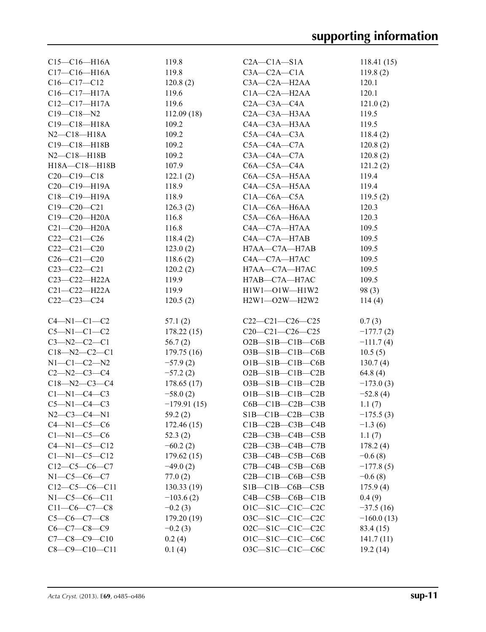| $C15-C16-H16A$                              | 119.8                 | $C2A - C1A - S1A$       | 118.41(15)          |
|---------------------------------------------|-----------------------|-------------------------|---------------------|
| $C17 - C16 - H16A$                          | 119.8                 | $C3A - C2A - C1A$       | 119.8(2)            |
| $C16-C17-C12$                               | 120.8(2)              | $C3A - C2A - H2AA$      | 120.1               |
| $C16 - C17 - H17A$                          | 119.6                 | $C1A - C2A - H2AA$      | 120.1               |
| $C12 - C17 - H17A$                          | 119.6                 | $C2A - C3A - C4A$       | 121.0(2)            |
| $C19 - C18 - N2$                            | 112.09(18)            | $C2A - C3A - H3AA$      | 119.5               |
| $C19 - C18 - H18A$                          | 109.2                 | $C4A - C3A - H3AA$      | 119.5               |
| $N2 - C18 - H18A$                           | 109.2                 | $C5A - C4A - C3A$       | 118.4(2)            |
| $C19 - C18 - H18B$                          | 109.2                 | $C5A - C4A - C7A$       | 120.8(2)            |
| $N2$ - $C18$ - $H18B$                       | 109.2                 | $C3A - C4A - C7A$       | 120.8(2)            |
| $H18A - C18 - H18B$                         | 107.9                 | $C6A - C5A - C4A$       | 121.2(2)            |
| $C20-C19-C18$                               | 122.1(2)              | $C6A - C5A - H5AA$      | 119.4               |
| $C20-C19-H19A$                              | 118.9                 | $C4A - C5A - H5AA$      | 119.4               |
| $C18 - C19 - H19A$                          | 118.9                 | $C1A - C6A - C5A$       | 119.5(2)            |
| $C19 - C20 - C21$                           | 126.3(2)              | $C1A - C6A - H6AA$      | 120.3               |
| $C19 - C20 - H20A$                          | 116.8                 | $C5A - C6A - H6AA$      | 120.3               |
| $C21 - C20 - H20A$                          | 116.8                 | $C4A - C7A - H7AA$      | 109.5               |
| $C22-C21-C26$                               | 118.4(2)              | $C4A - C7A - H7AB$      | 109.5               |
| $C22-C21-C20$                               | 123.0(2)              | H7AA-C7A-H7AB           | 109.5               |
| $C26 - C21 - C20$                           |                       | C4A—C7A—H7AC            | 109.5               |
| $C23-C22-C21$                               | 118.6(2)<br>120.2(2)  | H7AA-C7A-H7AC           | 109.5               |
| $C23 - C22 - H22A$                          | 119.9                 | H7AB-C7A-H7AC           | 109.5               |
|                                             |                       |                         |                     |
| $C21 - C22 - H22A$                          | 119.9                 | $H1W1 - O1W - H1W2$     | 98(3)               |
| $C22-C23-C24$                               | 120.5(2)              | H2W1-O2W-H2W2           | 114(4)              |
| $C4 - N1 - C1 - C2$                         | 57.1(2)               | $C22-C21-C26-C25$       | 0.7(3)              |
| $C5 - N1 - C1 - C2$                         | 178.22(15)            | $C20-C21-C26-C25$       | $-177.7(2)$         |
|                                             |                       | $O2B - S1B - C1B - C6B$ |                     |
| $C3 - N2 - C2 - C1$<br>$C18 - N2 - C2 - C1$ | 56.7(2)<br>179.75(16) | $O3B - S1B - C1B - C6B$ | $-111.7(4)$         |
| $N1-C1-C2-N2$                               |                       | $O1B - S1B - C1B - C6B$ | 10.5(5)             |
| $C2 - N2 - C3 - C4$                         | $-57.9(2)$            | $O2B - S1B - C1B - C2B$ | 130.7(4)<br>64.8(4) |
|                                             | $-57.2(2)$            |                         |                     |
| $C18 - N2 - C3 - C4$                        | 178.65(17)            | $O3B-S1B-C1B-C2B$       | $-173.0(3)$         |
| $C1 - N1 - C4 - C3$                         | $-58.0(2)$            | $O1B - S1B - C1B - C2B$ | $-52.8(4)$          |
| $C5 - N1 - C4 - C3$                         | $-179.91(15)$         | $C6B - C1B - C2B - C3B$ | 1.1(7)              |
| $N2-C3-C4-N1$                               | 59.2 (2)              | $SIB - CIB - C2B - C3B$ | $-175.5(3)$         |
| $C4 - N1 - C5 - C6$                         | 172.46 (15)           | $C1B - C2B - C3B - C4B$ | $-1.3(6)$           |
| $C1 - N1 - C5 - C6$                         | 52.3(2)               | $C2B - C3B - C4B - C5B$ | 1.1(7)              |
| $C4 - N1 - C5 - C12$                        | $-60.2(2)$            | $C2B - C3B - C4B - C7B$ | 178.2(4)            |
| $C1 - N1 - C5 - C12$                        | 179.62(15)            | $C3B - C4B - C5B - C6B$ | $-0.6(8)$           |
| $C12-C5-C6-C7$                              | $-49.0(2)$            | $C7B - C4B - C5B - C6B$ | $-177.8(5)$         |
| $N1-C5-C6-C7$                               | 77.0(2)               | $C2B - C1B - C6B - C5B$ | $-0.6(8)$           |
| $C12-C5-C6-C11$                             | 130.33(19)            | $SIB - C1B - C6B - C5B$ | 175.9(4)            |
| $N1-C5-C6-C11$                              | $-103.6(2)$           | $C4B - C5B - C6B - C1B$ | 0.4(9)              |
| $C11-C6-C7-C8$                              | $-0.2(3)$             | $O1C - S1C - C1C - C2C$ | $-37.5(16)$         |
| $C5-C6-C7-C8$                               | 179.20 (19)           | $O3C-S1C-C1C-C2C$       | $-160.0(13)$        |
| $C6-C7-C8-C9$                               | $-0.2(3)$             | $O2C - S1C - C1C - C2C$ | 83.4 (15)           |
| $C7 - C8 - C9 - C10$                        | 0.2(4)                | O1C-S1C-C1C-C6C         | 141.7(11)           |
| $C8-C9-C10-C11$                             | 0.1(4)                | O3C-S1C-C1C-C6C         | 19.2(14)            |